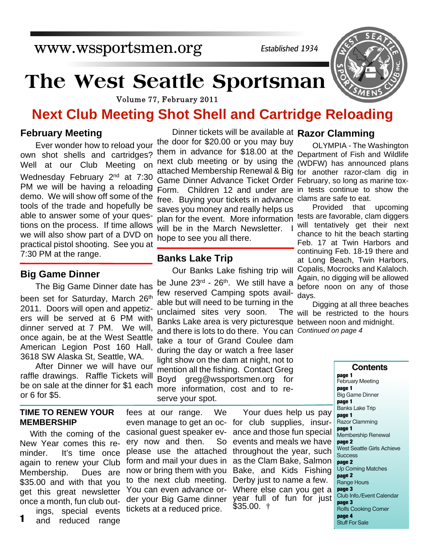www.wssportsmen.org

*Established 1934*

# **The West Seattle Sportsman**

Volume 77, February 2011

# **Next Club Meeting Shot Shell and Cartridge Reloading**

#### **February Meeting**

Ever wonder how to reload your own shot shells and cartridges? Well at our Club Meeting on Wednesday February 2<sup>nd</sup> at 7:30 PM we will be having a reloading demo. We will show off some of the tools of the trade and hopefully be able to answer some of your questions on the process. If time allows we will also show part of a DVD on practical pistol shooting. See you at 7:30 PM at the range.

#### **Big Game Dinner**

The Big Game Dinner date has been set for Saturday, March 26<sup>th</sup> 2011. Doors will open and appetizers will be served at 6 PM with dinner served at 7 PM. We will, once again, be at the West Seattle American Legion Post 160 Hall, 3618 SW Alaska St, Seattle, WA.

After Dinner we will have our raffle drawings. Raffle Tickets will be on sale at the dinner for \$1 each or 6 for \$5.

#### **TIME TO RENEW YOUR MEMBERSHIP**

With the coming of the New Year comes this reminder. It's time once again to renew your Club Membership. Dues are \$35.00 and with that you get this great newsletter once a month, fun club outings, special events

and reduced range **1**

Dinner tickets will be available at **Razor Clamming** the door for \$20.00 or you may buy them in advance for \$18.00 at the Department of Fish and Wildlife next club meeting or by using the (WDFW) has announced plans attached Membership Renewal & Big for another razor-clam dig in Game Dinner Advance Ticket Order February, so long as marine tox-Form. Children 12 and under are in tests continue to show the free. Buying your tickets in advance clams are safe to eat. saves you money and really helps us plan for the event. More information will be in the March Newsletter. I hope to see you all there.

#### **Banks Lake Trip**

be June 23<sup>rd</sup> - 26<sup>th</sup>. We still have a few reserved Camping spots available but will need to be turning in the unclaimed sites very soon. Banks Lake area is very picturesque between noon and midnight. and there is lots to do there. You can *Continued on page 4* take a tour of Grand Coulee dam during the day or watch a free laser light show on the dam at night, not to mention all the fishing. Contact Greg Boyd greg@wssportsmen.org for more information, cost and to reserve your spot.

### OLYMPIA - The Washington

Our Banks Lake fishing trip will Copalis, Mocrocks and Kalaloch. Provided that upcoming tests are favorable, clam diggers will tentatively get their next chance to hit the beach starting Feb. 17 at Twin Harbors and continuing Feb. 18-19 there and at Long Beach, Twin Harbors, Again, no digging will be allowed before noon on any of those days.

> Digging at all three beaches The will be restricted to the hours

> > **Contents page 1** February Meeting **page 1** Big Game Dinner **page 1** Banks Lake Trip **page 1** Razor Clamming **page 1** Membership Renewal **page 2** West Seattle Girls Achieve **Success page 2** Up Coming Matches **page 2** Range Hours **page 3** Club Info./Event Calendar **page 3** Rolfs Cooking Corner **page 4** Stuff For Sale

fees at our range. We even manage to get an oc-for club supplies, insurcasional guest speaker ev-ance and those fun special ery now and then. please use the attached throughout the year, such form and mail your dues in as the Clam Bake, Salmon now or bring them with you Bake, and Kids Fishing to the next club meeting. Derby just to name a few. You can even advance or-Where else can you get a der your Big Game dinner tickets at a reduced price.

Your dues help us pay So events and meals we have year full of fun for just  $$35.00.$  †

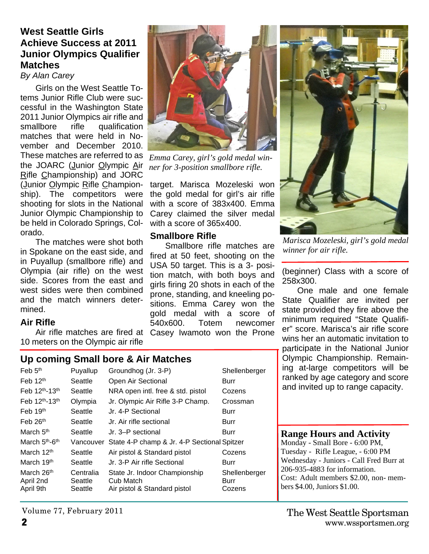#### **West Seattle Girls Achieve Success at 2011 Junior Olympics Qualifier Matches**

#### *By Alan Carey*

Girls on the West Seattle Totems Junior Rifle Club were successful in the Washington State 2011 Junior Olympics air rifle and smallbore rifle qualification matches that were held in November and December 2010. These matches are referred to as *Emma Carey, girl's gold medal win*the JOARC (Junior Olympic Air Rifle Championship) and JORC (Junior Olympic Rifle Championship). The competitors were shooting for slots in the National Junior Olympic Championship to be held in Colorado Springs, Colorado.

The matches were shot both in Spokane on the east side, and in Puyallup (smallbore rifle) and Olympia (air rifle) on the west side. Scores from the east and west sides were then combined and the match winners determined.

#### **Air Rifle**

10 meters on the Olympic air rifle

#### **Up coming Small bore & Air Matches**

| Feb $5th$                              | Puyallup                        | Groundhog (Jr. 3-P)                                                        | Shellenberger                   |
|----------------------------------------|---------------------------------|----------------------------------------------------------------------------|---------------------------------|
| Feb $12th$                             | Seattle                         | Open Air Sectional                                                         | Burr                            |
| Feb 12th-13th                          | Seattle                         | NRA open intl. free & std. pistol                                          | Cozens                          |
| Feb 12th-13th                          | Olympia                         | Jr. Olympic Air Rifle 3-P Champ.                                           | Crossman                        |
| Feb $19th$                             | Seattle                         | Jr. 4-P Sectional                                                          | Burr                            |
| Feb $26th$                             | Seattle                         | Jr. Air rifle sectional                                                    | Burr                            |
| March 5 <sup>th</sup>                  | Seattle                         | Jr. 3–P sectional                                                          | <b>Burr</b>                     |
| March 5 <sup>th</sup> -6 <sup>th</sup> | Vancouver                       | State 4-P champ & Jr. 4-P Sectional Spitzer                                |                                 |
| March 12 <sup>th</sup>                 | Seattle                         | Air pistol & Standard pistol                                               | Cozens                          |
| March 19 <sup>th</sup>                 | Seattle                         | Jr. 3-P Air rifle Sectional                                                | Burr                            |
| March 26th<br>April 2nd<br>April 9th   | Centralia<br>Seattle<br>Seattle | State Jr. Indoor Championship<br>Cub Match<br>Air pistol & Standard pistol | Shellenberger<br>Burr<br>Cozens |



*ner for 3-position smallbore rifle.*

target. Marisca Mozeleski won the gold medal for girl's air rifle with a score of 383x400. Emma Carey claimed the silver medal with a score of 365x400.

#### **Smallbore Rifle**

Air rifle matches are fired at Casey Iwamoto won the Prone Smallbore rifle matches are fired at 50 feet, shooting on the USA 50 target. This is a 3- position match, with both boys and girls firing 20 shots in each of the prone, standing, and kneeling positions. Emma Carey won the gold medal with a score of 540x600. Totem newcomer



*Marisca Mozeleski, girl's gold medal winner for air rifle.*

(beginner) Class with a score of 258x300.

One male and one female State Qualifier are invited per state provided they fire above the minimum required "State Qualifier" score. Marisca's air rifle score wins her an automatic invitation to participate in the National Junior Olympic Championship. Remaining at-large competitors will be ranked by age category and score and invited up to range capacity.

#### **Range Hours and Activity**

Monday - Small Bore - 6:00 PM, Tuesday - Rifle League, - 6:00 PM Wednesday - Juniors - Call Fred Burr at 206-935-4883 for information. Cost: Adult members \$2.00, non- members \$4.00, Juniors \$1.00.

Volume 77, February 2011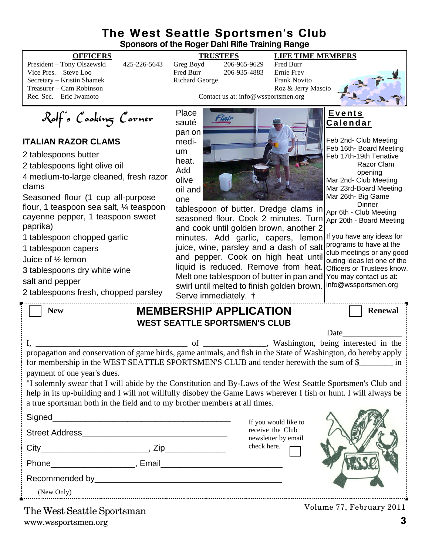#### **The West Seattle Sportsmen's Club Sponsors of the Roger Dahl Rifle Training Range**

|  | <b>OFFICEI</b> |
|--|----------------|
|  |                |

President – Tony Olszewski 425-226-5643 Greg Boyd 206-965-9629 Fred Burr Vice Pres. – Steve Loo Fred Burr 206-935-4883 Ernie Frey Secretary – Kristin Shamek **Richard George** Frank Novito Treasurer – Cam Robinson Roz & Jerry Mascio

#### **OFFICERS TRUSTEES LIFE TIME MEMBERS**

Contact us at: info@wssportsmen.org



Rolf's Cooking Corner

#### **ITALIAN RAZOR CLAMS**

2 tablespoons butter

2 tablespoons light olive oil

4 medium-to-large cleaned, fresh razor clams

Seasoned flour (1 cup all-purpose flour, 1 teaspoon sea salt, ¼ teaspoon cayenne pepper, 1 teaspoon sweet paprika)

1 tablespoon chopped garlic

1 tablespoon capers

Juice of ½ lemon

3 tablespoons dry white wine

salt and pepper

2 tablespoons fresh, chopped parsley

Place sauté pan on medium heat. Add olive oil and one



tablespoon of butter. Dredge clams in seasoned flour. Cook 2 minutes. Turn and cook until golden brown, another 2 minutes. Add garlic, capers, lemon juice, wine, parsley and a dash of salt and pepper. Cook on high heat until liquid is reduced. Remove from heat. Melt one tablespoon of butter in pan and swirl until melted to finish golden brown. Serve immediately. †

**E v e n t s C a l e n d a r**

Feb 2nd- Club Meeting Feb 16th- Board Meeting Feb 17th-19th Tenative Razor Clam opening Mar 2nd- Club Meeting Mar 23rd-Board Meeting Mar 26th- Big Game **Dinner** Apr 6th - Club Meeting

Apr 20th - Board Meeting

If you have any ideas for programs to have at the club meetings or any good outing ideas let one of the Officers or Trustees know. You may contact us at: info@wssportsmen.org

| <b>New</b>                                                                                                                                                                                                                                                                                                     | <b>MEMBERSHIP APPLICATION</b><br><b>WEST SEATTLE SPORTSMEN'S CLUB</b> |                                         | <b>Renewal</b> |
|----------------------------------------------------------------------------------------------------------------------------------------------------------------------------------------------------------------------------------------------------------------------------------------------------------------|-----------------------------------------------------------------------|-----------------------------------------|----------------|
|                                                                                                                                                                                                                                                                                                                |                                                                       |                                         |                |
| propagation and conservation of game birds, game animals, and fish in the State of Washington, do hereby apply<br>for membership in the WEST SEATTLE SPORTSMEN'S CLUB and tender herewith the sum of \$<br>payment of one year's dues.                                                                         |                                                                       |                                         |                |
| "I solemnly swear that I will abide by the Constitution and By-Laws of the West Seattle Sportsmen's Club and<br>help in its up-building and I will not willfully disobey the Game Laws wherever I fish or hunt. I will always be<br>a true sportsman both in the field and to my brother members at all times. |                                                                       |                                         |                |
|                                                                                                                                                                                                                                                                                                                |                                                                       | If you would like to                    |                |
|                                                                                                                                                                                                                                                                                                                |                                                                       | receive the Club<br>newsletter by email |                |
|                                                                                                                                                                                                                                                                                                                |                                                                       | check here.                             |                |
|                                                                                                                                                                                                                                                                                                                |                                                                       |                                         |                |
|                                                                                                                                                                                                                                                                                                                |                                                                       |                                         |                |

(New Only)

www.wssportsmen.org **3** The West Seattle Sportsman

Volume 77, February 2011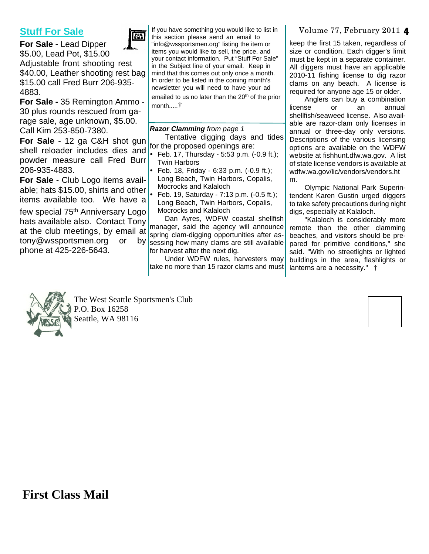#### **Stuff For Sale**



**For Sale** - Lead Dipper \$5.00, Lead Pot, \$15.00 Adjustable front shooting rest \$40.00, Leather shooting rest bag \$15.00 call Fred Burr 206-935- 4883.

**For Sale -** 35 Remington Ammo - 30 plus rounds rescued from garage sale, age unknown, \$5.00. Call Kim 253-850-7380.

**For Sale** - 12 ga C&H shot gun shell reloader includes dies and powder measure call Fred Burr 206-935-4883.

**For Sale** - Club Logo items available; hats \$15.00, shirts and other items available too. We have a

few special 75<sup>th</sup> Anniversary Logo hats available also. Contact Tony at the club meetings, by email at tony@wssportsmen.org or phone at 425-226-5643.

If you have something you would like to list in Volume 77, February 2011 **4** this section please send an email to "info@wssportsmen.org" listing the item or items you would like to sell, the price, and your contact information. Put "Stuff For Sale" in the Subject line of your email. Keep in mind that this comes out only once a month. In order to be listed in the coming month's newsletter you will need to have your ad emailed to us no later than the 20<sup>th</sup> of the prior month.....†

#### *Razor Clamming from page 1*

Tentative digging days and tides for the proposed openings are:

ü Feb. 17, Thursday - 5:53 p.m. (-0.9 ft.); Twin Harbors

**Feb. 18, Friday - 6:33 p.m. (-0.9 ft.);** Long Beach, Twin Harbors, Copalis, Mocrocks and Kalaloch

ü Feb. 19, Saturday - 7:13 p.m. (-0.5 ft.); Long Beach, Twin Harbors, Copalis, Mocrocks and Kalaloch

Dan Ayres, WDFW coastal shellfish manager, said the agency will announce spring clam-digging opportunities after asby sessing how many clams are still available for harvest after the next dig.

Under WDFW rules, harvesters may take no more than 15 razor clams and must

keep the first 15 taken, regardless of size or condition. Each digger's limit must be kept in a separate container. All diggers must have an applicable 2010-11 fishing license to dig razor clams on any beach. A license is required for anyone age 15 or older.

Anglers can buy a combination license or an annual shellfish/seaweed license. Also available are razor-clam only licenses in annual or three-day only versions. Descriptions of the various licensing options are available on the WDFW website at fishhunt.dfw.wa.gov. A list of state license vendors is available at wdfw.wa.gov/lic/vendors/vendors.ht m.

Olympic National Park Superintendent Karen Gustin urged diggers to take safety precautions during night digs, especially at Kalaloch.

"Kalaloch is considerably more remote than the other clamming beaches, and visitors should be prepared for primitive conditions," she said. "With no streetlights or lighted buildings in the area, flashlights or lanterns are a necessity." †



The West Seattle Sportsmen's Club P.O. Box 16258 Seattle, WA 98116



**First Class Mail**